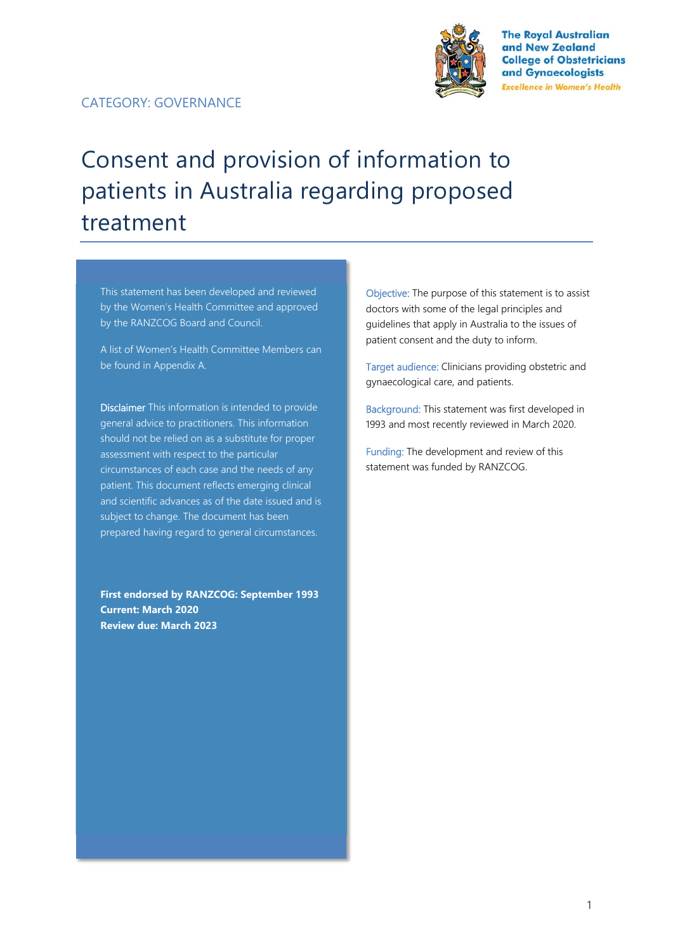

**The Royal Australian** and New Zealand **College of Obstetricians** and Gynaecologists **Excellence in Women's Health** 

# Consent and provision of information to patients in Australia regarding proposed treatment

This statement has been developed and reviewed by the Women's Health Committee and approved by the RANZCOG Board and Council.

A list of Women's Health Committee Members can be found in Appendix A.

Disclaimer This information is intended to provide general advice to practitioners. This information should not be relied on as a substitute for proper assessment with respect to the particular circumstances of each case and the needs of any patient. This document reflects emerging clinical and scientific advances as of the date issued and is subject to change. The document has been prepared having regard to general circumstances.

**First endorsed by RANZCOG: September 1993 Current: March 2020 Review due: March 2023** 

Objective: The purpose of this statement is to assist doctors with some of the legal principles and guidelines that apply in Australia to the issues of patient consent and the duty to inform.

Target audience: Clinicians providing obstetric and gynaecological care, and patients.

Background: This statement was first developed in 1993 and most recently reviewed in March 2020.

Funding: The development and review of this statement was funded by RANZCOG.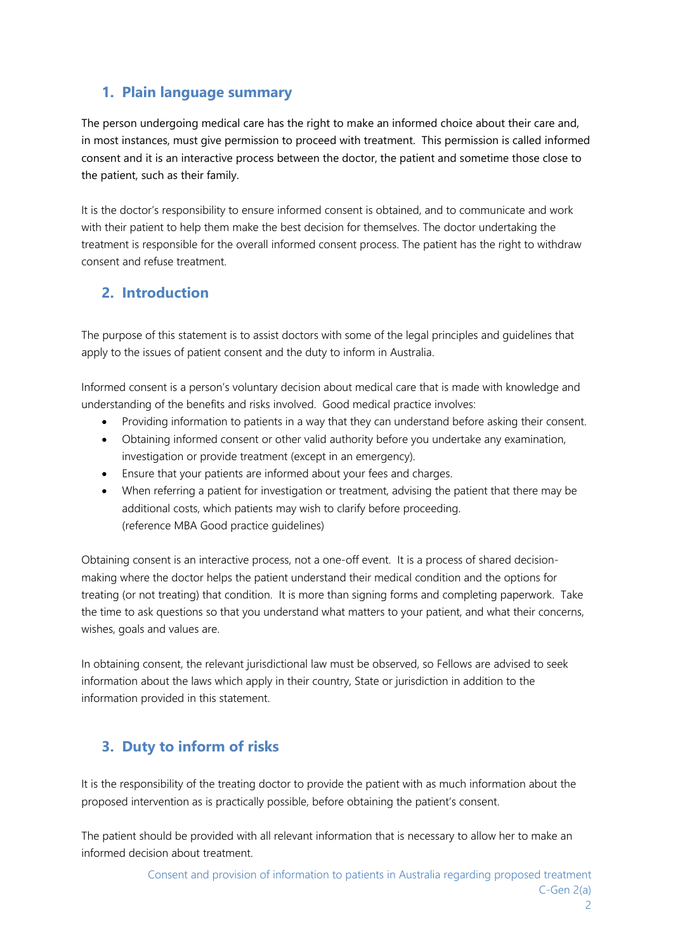## **1. Plain language summary**

The person undergoing medical care has the right to make an informed choice about their care and, in most instances, must give permission to proceed with treatment. This permission is called informed consent and it is an interactive process between the doctor, the patient and sometime those close to the patient, such as their family.

It is the doctor's responsibility to ensure informed consent is obtained, and to communicate and work with their patient to help them make the best decision for themselves. The doctor undertaking the treatment is responsible for the overall informed consent process. The patient has the right to withdraw consent and refuse treatment.

#### **2. Introduction**

The purpose of this statement is to assist doctors with some of the legal principles and guidelines that apply to the issues of patient consent and the duty to inform in Australia.

Informed consent is a person's voluntary decision about medical care that is made with knowledge and understanding of the benefits and risks involved. Good medical practice involves:

- Providing information to patients in a way that they can understand before asking their consent.
- Obtaining informed consent or other valid authority before you undertake any examination, investigation or provide treatment (except in an emergency).
- Ensure that your patients are informed about your fees and charges.
- When referring a patient for investigation or treatment, advising the patient that there may be additional costs, which patients may wish to clarify before proceeding. (reference MBA Good practice guidelines)

Obtaining consent is an interactive process, not a one-off event. It is a process of shared decisionmaking where the doctor helps the patient understand their medical condition and the options for treating (or not treating) that condition. It is more than signing forms and completing paperwork. Take the time to ask questions so that you understand what matters to your patient, and what their concerns, wishes, goals and values are.

In obtaining consent, the relevant jurisdictional law must be observed, so Fellows are advised to seek information about the laws which apply in their country, State or jurisdiction in addition to the information provided in this statement.

# **3. Duty to inform of risks**

It is the responsibility of the treating doctor to provide the patient with as much information about the proposed intervention as is practically possible, before obtaining the patient's consent.

The patient should be provided with all relevant information that is necessary to allow her to make an informed decision about treatment.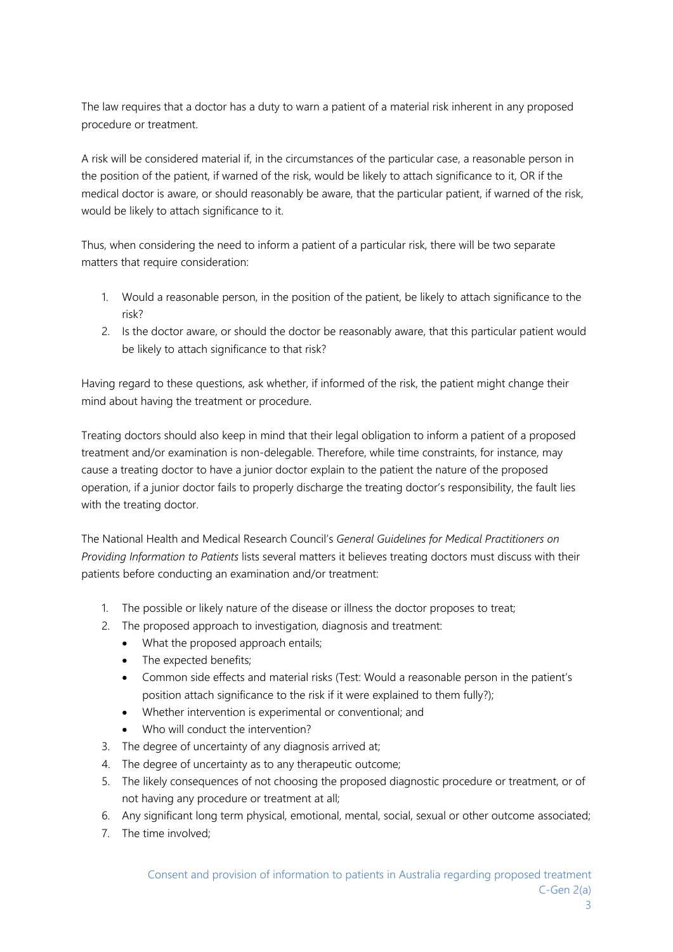The law requires that a doctor has a duty to warn a patient of a material risk inherent in any proposed procedure or treatment.

A risk will be considered material if, in the circumstances of the particular case, a reasonable person in the position of the patient, if warned of the risk, would be likely to attach significance to it, OR if the medical doctor is aware, or should reasonably be aware, that the particular patient, if warned of the risk, would be likely to attach significance to it.

Thus, when considering the need to inform a patient of a particular risk, there will be two separate matters that require consideration:

- 1. Would a reasonable person, in the position of the patient, be likely to attach significance to the risk?
- 2. Is the doctor aware, or should the doctor be reasonably aware, that this particular patient would be likely to attach significance to that risk?

Having regard to these questions, ask whether, if informed of the risk, the patient might change their mind about having the treatment or procedure.

Treating doctors should also keep in mind that their legal obligation to inform a patient of a proposed treatment and/or examination is non-delegable. Therefore, while time constraints, for instance, may cause a treating doctor to have a junior doctor explain to the patient the nature of the proposed operation, if a junior doctor fails to properly discharge the treating doctor's responsibility, the fault lies with the treating doctor.

The National Health and Medical Research Council's *General Guidelines for Medical Practitioners on Providing Information to Patients* lists several matters it believes treating doctors must discuss with their patients before conducting an examination and/or treatment:

- 1. The possible or likely nature of the disease or illness the doctor proposes to treat;
- 2. The proposed approach to investigation, diagnosis and treatment:
	- What the proposed approach entails;
	- The expected benefits;
	- Common side effects and material risks (Test: Would a reasonable person in the patient's position attach significance to the risk if it were explained to them fully?);
	- Whether intervention is experimental or conventional; and
	- Who will conduct the intervention?
- 3. The degree of uncertainty of any diagnosis arrived at;
- 4. The degree of uncertainty as to any therapeutic outcome;
- 5. The likely consequences of not choosing the proposed diagnostic procedure or treatment, or of not having any procedure or treatment at all;
- 6. Any significant long term physical, emotional, mental, social, sexual or other outcome associated;
- 7. The time involved;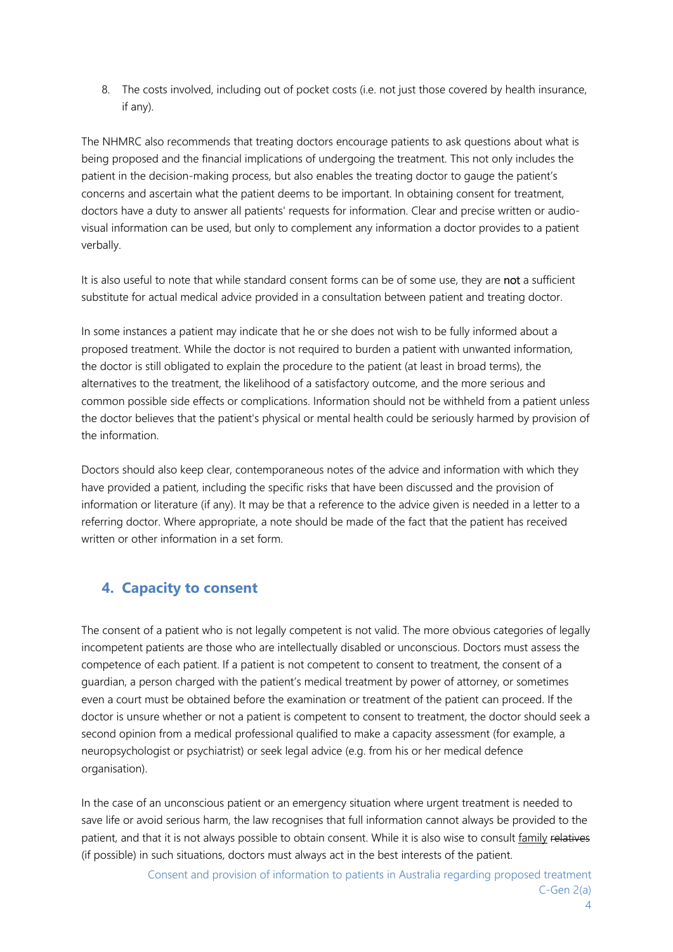8. The costs involved, including out of pocket costs (i.e. not just those covered by health insurance, if any).

The NHMRC also recommends that treating doctors encourage patients to ask questions about what is being proposed and the financial implications of undergoing the treatment. This not only includes the patient in the decision-making process, but also enables the treating doctor to gauge the patient's concerns and ascertain what the patient deems to be important. In obtaining consent for treatment, doctors have a duty to answer all patients' requests for information. Clear and precise written or audiovisual information can be used, but only to complement any information a doctor provides to a patient verbally.

It is also useful to note that while standard consent forms can be of some use, they are not a sufficient substitute for actual medical advice provided in a consultation between patient and treating doctor.

In some instances a patient may indicate that he or she does not wish to be fully informed about a proposed treatment. While the doctor is not required to burden a patient with unwanted information, the doctor is still obligated to explain the procedure to the patient (at least in broad terms), the alternatives to the treatment, the likelihood of a satisfactory outcome, and the more serious and common possible side effects or complications. Information should not be withheld from a patient unless the doctor believes that the patient's physical or mental health could be seriously harmed by provision of the information.

Doctors should also keep clear, contemporaneous notes of the advice and information with which they have provided a patient, including the specific risks that have been discussed and the provision of information or literature (if any). It may be that a reference to the advice given is needed in a letter to a referring doctor. Where appropriate, a note should be made of the fact that the patient has received written or other information in a set form.

## **4. Capacity to consent**

The consent of a patient who is not legally competent is not valid. The more obvious categories of legally incompetent patients are those who are intellectually disabled or unconscious. Doctors must assess the competence of each patient. If a patient is not competent to consent to treatment, the consent of a guardian, a person charged with the patient's medical treatment by power of attorney, or sometimes even a court must be obtained before the examination or treatment of the patient can proceed. If the doctor is unsure whether or not a patient is competent to consent to treatment, the doctor should seek a second opinion from a medical professional qualified to make a capacity assessment (for example, a neuropsychologist or psychiatrist) or seek legal advice (e.g. from his or her medical defence organisation).

In the case of an unconscious patient or an emergency situation where urgent treatment is needed to save life or avoid serious harm, the law recognises that full information cannot always be provided to the patient, and that it is not always possible to obtain consent. While it is also wise to consult family relatives (if possible) in such situations, doctors must always act in the best interests of the patient.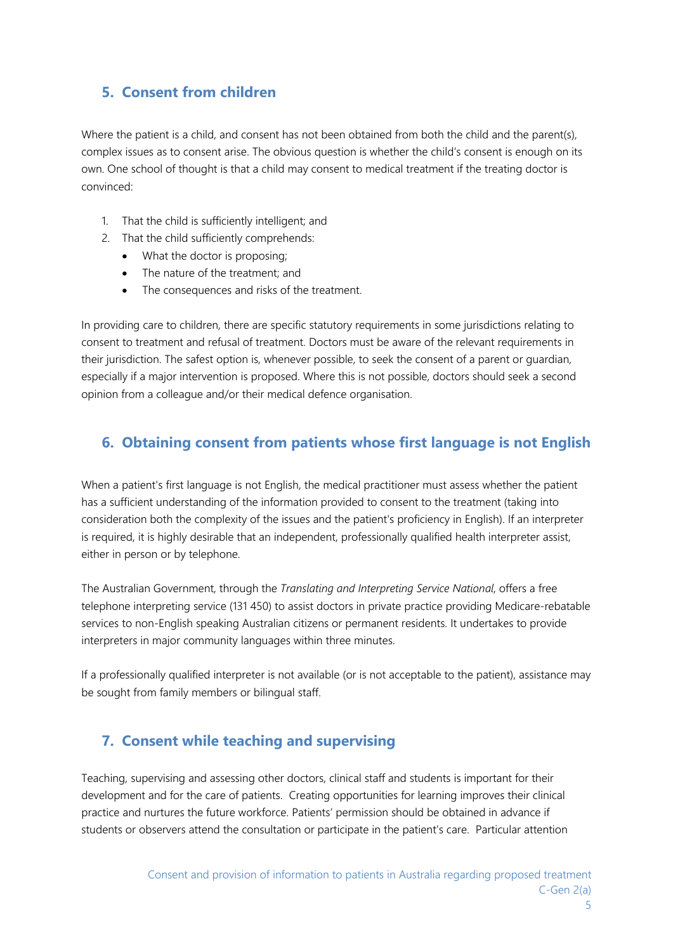# **5. Consent from children**

Where the patient is a child, and consent has not been obtained from both the child and the parent(s), complex issues as to consent arise. The obvious question is whether the child's consent is enough on its own. One school of thought is that a child may consent to medical treatment if the treating doctor is convinced:

- 1. That the child is sufficiently intelligent; and
- 2. That the child sufficiently comprehends:
	- What the doctor is proposing;
	- The nature of the treatment: and
	- The consequences and risks of the treatment.

In providing care to children, there are specific statutory requirements in some jurisdictions relating to consent to treatment and refusal of treatment. Doctors must be aware of the relevant requirements in their jurisdiction. The safest option is, whenever possible, to seek the consent of a parent or guardian, especially if a major intervention is proposed. Where this is not possible, doctors should seek a second opinion from a colleague and/or their medical defence organisation.

## **6. Obtaining consent from patients whose first language is not English**

When a patient's first language is not English, the medical practitioner must assess whether the patient has a sufficient understanding of the information provided to consent to the treatment (taking into consideration both the complexity of the issues and the patient's proficiency in English). If an interpreter is required, it is highly desirable that an independent, professionally qualified health interpreter assist, either in person or by telephone.

The Australian Government, through the *Translating and Interpreting Service National*, offers a free telephone interpreting service (131 450) to assist doctors in private practice providing Medicare-rebatable services to non-English speaking Australian citizens or permanent residents. It undertakes to provide interpreters in major community languages within three minutes.

If a professionally qualified interpreter is not available (or is not acceptable to the patient), assistance may be sought from family members or bilingual staff.

# **7. Consent while teaching and supervising**

Teaching, supervising and assessing other doctors, clinical staff and students is important for their development and for the care of patients. Creating opportunities for learning improves their clinical practice and nurtures the future workforce. Patients' permission should be obtained in advance if students or observers attend the consultation or participate in the patient's care. Particular attention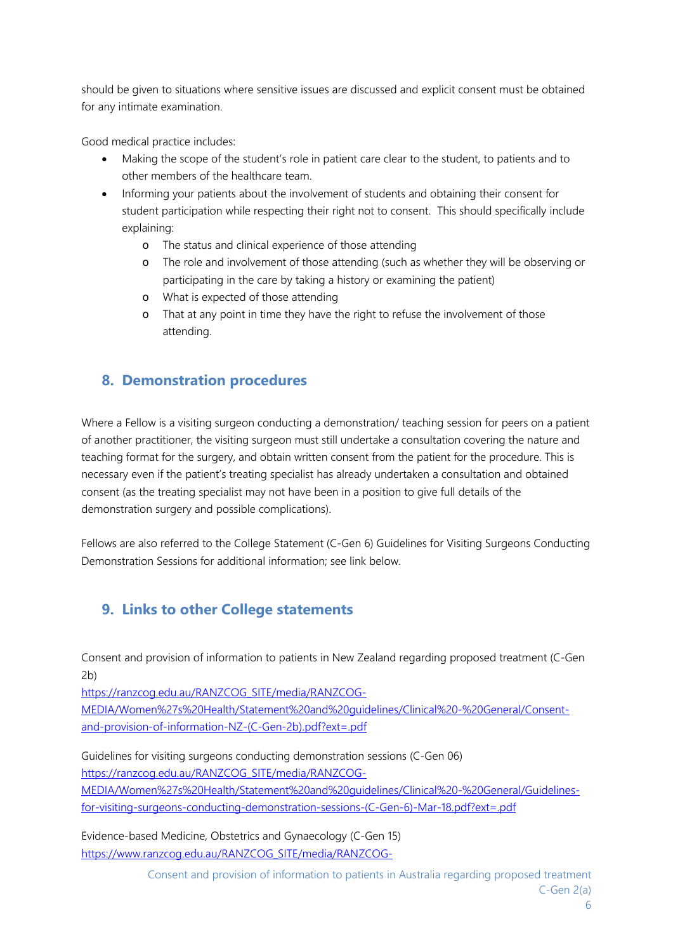should be given to situations where sensitive issues are discussed and explicit consent must be obtained for any intimate examination.

Good medical practice includes:

- Making the scope of the student's role in patient care clear to the student, to patients and to other members of the healthcare team.
- Informing your patients about the involvement of students and obtaining their consent for student participation while respecting their right not to consent. This should specifically include explaining:
	- o The status and clinical experience of those attending
	- o The role and involvement of those attending (such as whether they will be observing or participating in the care by taking a history or examining the patient)
	- o What is expected of those attending
	- o That at any point in time they have the right to refuse the involvement of those attending.

## **8. Demonstration procedures**

Where a Fellow is a visiting surgeon conducting a demonstration/ teaching session for peers on a patient of another practitioner, the visiting surgeon must still undertake a consultation covering the nature and teaching format for the surgery, and obtain written consent from the patient for the procedure. This is necessary even if the patient's treating specialist has already undertaken a consultation and obtained consent (as the treating specialist may not have been in a position to give full details of the demonstration surgery and possible complications).

Fellows are also referred to the College Statement (C-Gen 6) Guidelines for Visiting Surgeons Conducting Demonstration Sessions for additional information; see link below.

# **9. Links to other College statements**

Consent and provision of information to patients in New Zealand regarding proposed treatment (C-Gen 2b)

https://ranzcog.edu.au/RANZCOG\_SITE/media/RANZCOG-

MEDIA/Women%27s%20Health/Statement%20and%20guidelines/Clinical%20-%20General/Consentand-provision-of-information-NZ-(C-Gen-2b).pdf?ext=.pdf

Guidelines for visiting surgeons conducting demonstration sessions (C-Gen 06)

https://ranzcog.edu.au/RANZCOG\_SITE/media/RANZCOG-

MEDIA/Women%27s%20Health/Statement%20and%20guidelines/Clinical%20-%20General/Guidelinesfor-visiting-surgeons-conducting-demonstration-sessions-(C-Gen-6)-Mar-18.pdf?ext=.pdf

Evidence-based Medicine, Obstetrics and Gynaecology (C-Gen 15) https://www.ranzcog.edu.au/RANZCOG\_SITE/media/RANZCOG-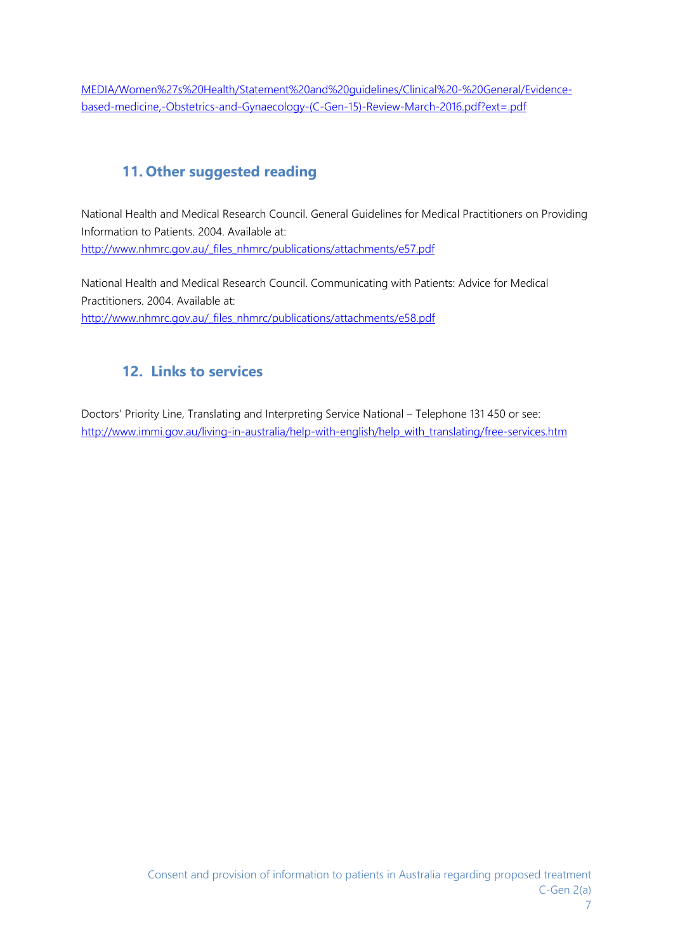MEDIA/Women%27s%20Health/Statement%20and%20guidelines/Clinical%20-%20General/Evidencebased-medicine,-Obstetrics-and-Gynaecology-(C-Gen-15)-Review-March-2016.pdf?ext=.pdf

# **11. Other suggested reading**

National Health and Medical Research Council. General Guidelines for Medical Practitioners on Providing Information to Patients. 2004. Available at: http://www.nhmrc.gov.au/\_files\_nhmrc/publications/attachments/e57.pdf

National Health and Medical Research Council. Communicating with Patients: Advice for Medical Practitioners. 2004. Available at: http://www.nhmrc.gov.au/\_files\_nhmrc/publications/attachments/e58.pdf

## **12. Links to services**

Doctors' Priority Line, Translating and Interpreting Service National – Telephone 131 450 or see: http://www.immi.gov.au/living-in-australia/help-with-english/help\_with\_translating/free-services.htm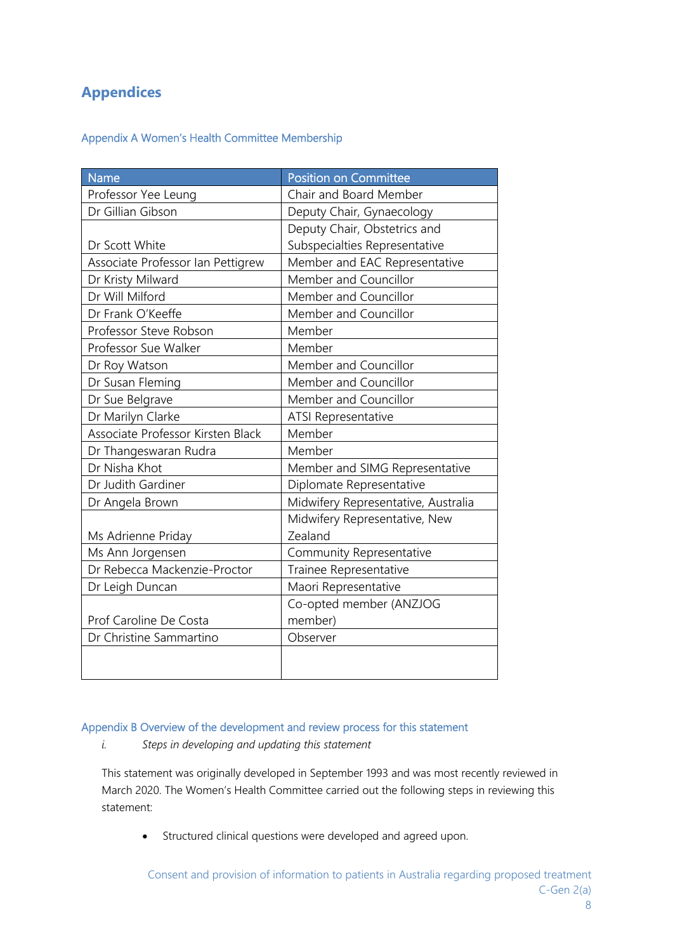## **Appendices**

#### Appendix A Women's Health Committee Membership

| <b>Name</b>                       | <b>Position on Committee</b>        |  |
|-----------------------------------|-------------------------------------|--|
| Professor Yee Leung               | Chair and Board Member              |  |
| Dr Gillian Gibson                 | Deputy Chair, Gynaecology           |  |
|                                   | Deputy Chair, Obstetrics and        |  |
| Dr Scott White                    | Subspecialties Representative       |  |
| Associate Professor Ian Pettigrew | Member and EAC Representative       |  |
| Dr Kristy Milward                 | Member and Councillor               |  |
| Dr Will Milford                   | Member and Councillor               |  |
| Dr Frank O'Keeffe                 | Member and Councillor               |  |
| Professor Steve Robson            | Member                              |  |
| Professor Sue Walker              | Member                              |  |
| Dr Roy Watson                     | Member and Councillor               |  |
| Dr Susan Fleming                  | Member and Councillor               |  |
| Dr Sue Belgrave                   | Member and Councillor               |  |
| Dr Marilyn Clarke                 | <b>ATSI Representative</b>          |  |
| Associate Professor Kirsten Black | Member                              |  |
| Dr Thangeswaran Rudra             | Member                              |  |
| Dr Nisha Khot                     | Member and SIMG Representative      |  |
| Dr Judith Gardiner                | Diplomate Representative            |  |
| Dr Angela Brown                   | Midwifery Representative, Australia |  |
|                                   | Midwifery Representative, New       |  |
| Ms Adrienne Priday                | Zealand                             |  |
| Ms Ann Jorgensen                  | Community Representative            |  |
| Dr Rebecca Mackenzie-Proctor      | Trainee Representative              |  |
| Dr Leigh Duncan                   | Maori Representative                |  |
|                                   | Co-opted member (ANZJOG             |  |
| Prof Caroline De Costa            | member)                             |  |
| Dr Christine Sammartino           | Observer                            |  |
|                                   |                                     |  |
|                                   |                                     |  |

#### Appendix B Overview of the development and review process for this statement

*i. Steps in developing and updating this statement* 

This statement was originally developed in September 1993 and was most recently reviewed in March 2020. The Women's Health Committee carried out the following steps in reviewing this statement:

Structured clinical questions were developed and agreed upon.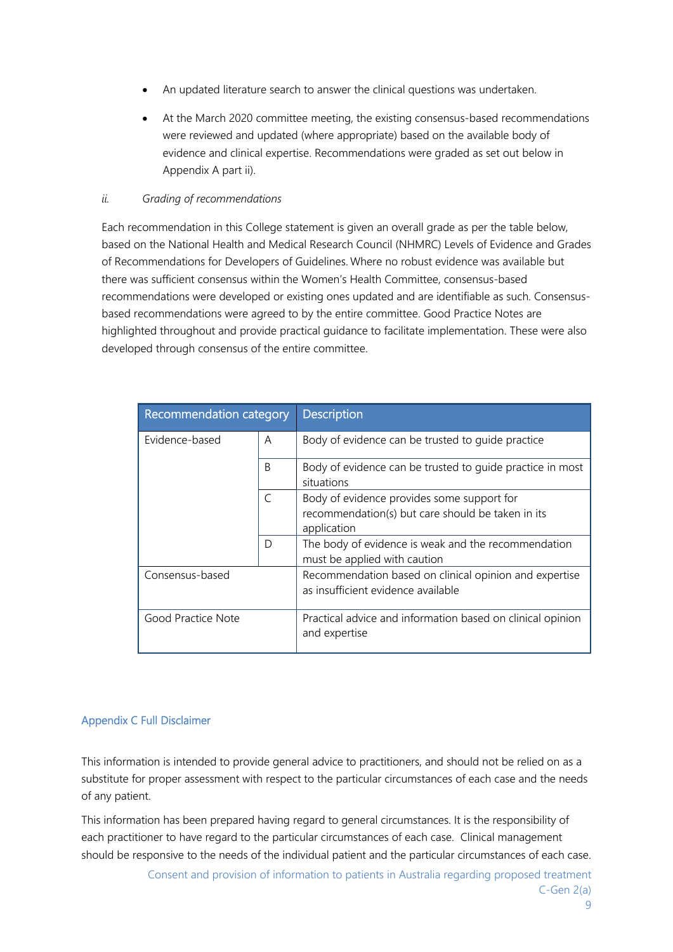- An updated literature search to answer the clinical questions was undertaken.
- At the March 2020 committee meeting, the existing consensus-based recommendations were reviewed and updated (where appropriate) based on the available body of evidence and clinical expertise. Recommendations were graded as set out below in Appendix A part ii).

#### *ii. Grading of recommendations*

Each recommendation in this College statement is given an overall grade as per the table below, based on the National Health and Medical Research Council (NHMRC) Levels of Evidence and Grades of Recommendations for Developers of Guidelines. Where no robust evidence was available but there was sufficient consensus within the Women's Health Committee, consensus-based recommendations were developed or existing ones updated and are identifiable as such. Consensusbased recommendations were agreed to by the entire committee. Good Practice Notes are highlighted throughout and provide practical guidance to facilitate implementation. These were also developed through consensus of the entire committee.

| Recommendation category |   | <b>Description</b>                                                                                             |
|-------------------------|---|----------------------------------------------------------------------------------------------------------------|
| Evidence-based          | A | Body of evidence can be trusted to quide practice                                                              |
|                         | B | Body of evidence can be trusted to quide practice in most<br>situations                                        |
|                         | C | Body of evidence provides some support for<br>recommendation(s) but care should be taken in its<br>application |
|                         | D | The body of evidence is weak and the recommendation<br>must be applied with caution                            |
| Consensus-based         |   | Recommendation based on clinical opinion and expertise<br>as insufficient evidence available                   |
| Good Practice Note      |   | Practical advice and information based on clinical opinion<br>and expertise                                    |

#### Appendix C Full Disclaimer

This information is intended to provide general advice to practitioners, and should not be relied on as a substitute for proper assessment with respect to the particular circumstances of each case and the needs of any patient.

This information has been prepared having regard to general circumstances. It is the responsibility of each practitioner to have regard to the particular circumstances of each case. Clinical management should be responsive to the needs of the individual patient and the particular circumstances of each case.